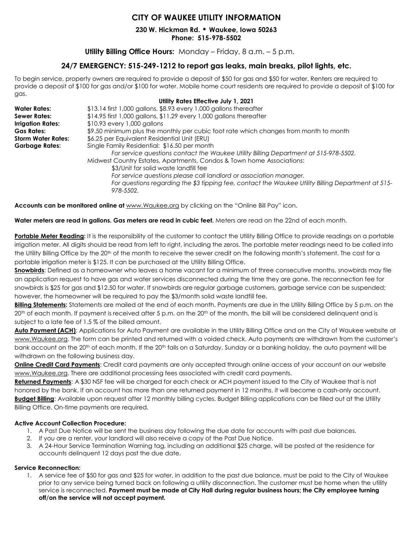## **CITY OF WAUKEE UTILITY INFORMATION**

**230 W. Hickman Rd. • Waukee, Iowa 50263 Phone: 515-978-5502**

### **Utility Billing Office Hours:** Monday – Friday, 8 a.m. – 5 p.m.

## **24/7 EMERGENCY: 515-249-1212 to report gas leaks, main breaks, pilot lights, etc.**

To begin service, property owners are required to provide a deposit of \$50 for gas and \$50 for water. Renters are required to provide a deposit of \$100 for gas and/or \$100 for water. Mobile home court residents are required to provide a deposit of \$100 for gas. **Utility Rates Effective July 1, 2021**

|                           | UTHITY RATES ETTECTIVE JUIV 1, ZUZ I                                                                            |
|---------------------------|-----------------------------------------------------------------------------------------------------------------|
| <b>Water Rates:</b>       | \$13.14 first 1,000 gallons, \$8.93 every 1,000 gallons thereafter                                              |
| <b>Sewer Rates:</b>       | \$14.95 first 1,000 gallons, \$11.29 every 1,000 gallons thereafter                                             |
| <b>Irrigation Rates:</b>  | \$10.93 every 1,000 gallons                                                                                     |
| <b>Gas Rates:</b>         | \$9.50 minimum plus the monthly per cubic foot rate which changes from month to month                           |
| <b>Storm Water Rates:</b> | \$6.25 per Equivalent Residential Unit (ERU)                                                                    |
| <b>Garbage Rates:</b>     | Single Family Residential: \$16.50 per month                                                                    |
|                           | For service questions contact the Waukee Utility Billing Department at 515-978-5502.                            |
|                           | Midwest Country Estates, Apartments, Condos & Town home Associations:                                           |
|                           | \$3/Unit for solid waste landfill fee                                                                           |
|                           | For service questions please call landlord or association manager.                                              |
|                           | For questions regarding the \$3 tipping fee, contact the Waukee Utility Billing Department at 515-<br>978-5502. |
|                           |                                                                                                                 |

**Accounts can be monitored online at** [www.Waukee.org](http://www.waukee.org/) by clicking on the "Online Bill Pay" icon.

**Water meters are read in gallons. Gas meters are read in cubic feet.** Meters are read on the 22nd of each month.

Portable Meter Reading: It is the responsibility of the customer to contact the Utility Billing Office to provide readings on a portable irrigation meter. All digits should be read from left to right, including the zeros. The portable meter readings need to be called into the Utility Billing Office by the 20<sup>th</sup> of the month to receive the sewer credit on the following month's statement. The cost for a portable irrigation meter is \$125. It can be purchased at the Utility Billing Office.

**Snowbirds**: Defined as a homeowner who leaves a home vacant for a minimum of three consecutive months, snowbirds may file an application request to have gas and water services disconnected during the time they are gone. The reconnection fee for snowbirds is \$25 for gas and \$12.50 for water. If snowbirds are regular garbage customers, garbage service can be suspended; however, the homeowner will be required to pay the \$3/month solid waste landfill fee.

**Billing Statements:** Statements are mailed at the end of each month. Payments are due in the Utility Billing Office by 5 p.m. on the 20<sup>th</sup> of each month. If payment is received after 5 p.m. on the 20<sup>th</sup> of the month, the bill will be considered delinquent and is subject to a late fee of 1.5 % of the billed amount.

**Auto Payment (ACH)**: Applications for Auto Payment are available in the Utility Billing Office and on the City of Waukee website at [www.Waukee.org.](http://www.waukee.org/) The form can be printed and returned with a voided check. Auto payments are withdrawn from the customer's bank account on the 20<sup>th</sup> of each month. If the 20<sup>th</sup> falls on a Saturday, Sunday or a banking holiday, the auto payment will be withdrawn on the following business day.

**Online Credit Card Payments**: Credit card payments are only accepted through online access of your account on our website [www.Waukee.org.](http://www.waukee.org/) There are additional processing fees associated with credit card payments.

**Returned Payments**: A \$30 NSF fee will be charged for each check or ACH payment issued to the City of Waukee that is not honored by the bank. If an account has more than one returned payment in 12 months, it will become a cash-only account. **Budget Billing**: Available upon request after 12 monthly billing cycles. Budget Billing applications can be filled out at the Utility Billing Office. On-time payments are required.

#### **Active Account Collection Procedure:**

- 1. A Past Due Notice will be sent the business day following the due date for accounts with past due balances.
- 2. If you are a renter, your landlord will also receive a copy of the Past Due Notice.
- 3. A 24-Hour Service Termination Warning tag, including an additional \$25 charge, will be posted at the residence for accounts delinquent 12 days past the due date.

#### **Service Reconnection:**

1. A service fee of \$50 for gas and \$25 for water, in addition to the past due balance, must be paid to the City of Waukee prior to any service being turned back on following a utility disconnection. The customer must be home when the utility service is reconnected. **Payment must be made at City Hall during regular business hours; the City employee turning off/on the service will not accept payment.**